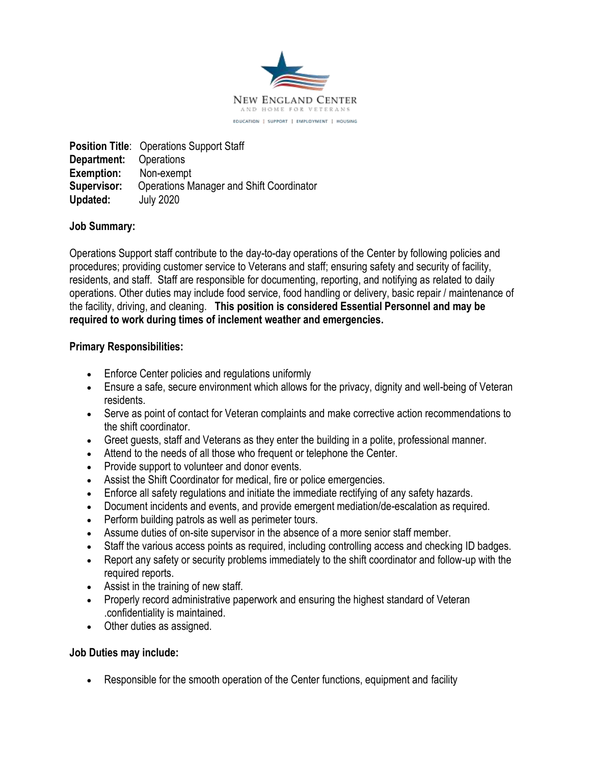

**Position Title**: Operations Support Staff **Department:** Operations **Exemption:** Non-exempt **Supervisor:** Operations Manager and Shift Coordinator **Updated:** July 2020

# **Job Summary:**

Operations Support staff contribute to the day-to-day operations of the Center by following policies and procedures; providing customer service to Veterans and staff; ensuring safety and security of facility, residents, and staff. Staff are responsible for documenting, reporting, and notifying as related to daily operations. Other duties may include food service, food handling or delivery, basic repair / maintenance of the facility, driving, and cleaning. **This position is considered Essential Personnel and may be required to work during times of inclement weather and emergencies.**

## **Primary Responsibilities:**

- Enforce Center policies and regulations uniformly
- Ensure a safe, secure environment which allows for the privacy, dignity and well-being of Veteran residents.
- Serve as point of contact for Veteran complaints and make corrective action recommendations to the shift coordinator.
- Greet guests, staff and Veterans as they enter the building in a polite, professional manner.
- Attend to the needs of all those who frequent or telephone the Center.
- Provide support to volunteer and donor events.
- Assist the Shift Coordinator for medical, fire or police emergencies.
- Enforce all safety regulations and initiate the immediate rectifying of any safety hazards.
- Document incidents and events, and provide emergent mediation/de-escalation as required.
- Perform building patrols as well as perimeter tours.
- Assume duties of on-site supervisor in the absence of a more senior staff member.
- Staff the various access points as required, including controlling access and checking ID badges.
- Report any safety or security problems immediately to the shift coordinator and follow-up with the required reports.
- Assist in the training of new staff.
- Properly record administrative paperwork and ensuring the highest standard of Veteran .confidentiality is maintained.
- Other duties as assigned.

## **Job Duties may include:**

Responsible for the smooth operation of the Center functions, equipment and facility